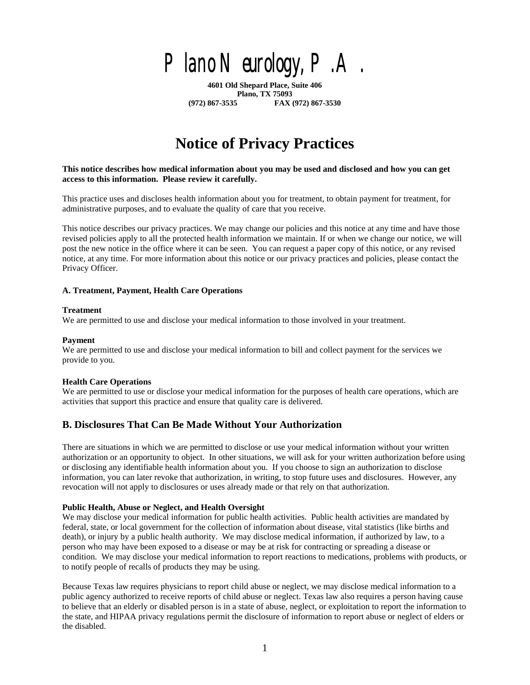

**4601 Old Shepard Place, Suite 406 Plano, TX 75093 (972) 867-3535 FAX (972) 867-3530**

# **Notice of Privacy Practices**

**This notice describes how medical information about you may be used and disclosed and how you can get access to this information. Please review it carefully.**

This practice uses and discloses health information about you for treatment, to obtain payment for treatment, for administrative purposes, and to evaluate the quality of care that you receive.

This notice describes our privacy practices. We may change our policies and this notice at any time and have those revised policies apply to all the protected health information we maintain. If or when we change our notice, we will post the new notice in the office where it can be seen. You can request a paper copy of this notice, or any revised notice, at any time. For more information about this notice or our privacy practices and policies, please contact the Privacy Officer.

#### **A. Treatment, Payment, Health Care Operations**

#### **Treatment**

We are permitted to use and disclose your medical information to those involved in your treatment.

#### **Payment**

We are permitted to use and disclose your medical information to bill and collect payment for the services we provide to you.

#### **Health Care Operations**

We are permitted to use or disclose your medical information for the purposes of health care operations, which are activities that support this practice and ensure that quality care is delivered.

# **B. Disclosures That Can Be Made Without Your Authorization**

There are situations in which we are permitted to disclose or use your medical information without your written authorization or an opportunity to object. In other situations, we will ask for your written authorization before using or disclosing any identifiable health information about you. If you choose to sign an authorization to disclose information, you can later revoke that authorization, in writing, to stop future uses and disclosures. However, any revocation will not apply to disclosures or uses already made or that rely on that authorization.

#### **Public Health, Abuse or Neglect, and Health Oversight**

We may disclose your medical information for public health activities. Public health activities are mandated by federal, state, or local government for the collection of information about disease, vital statistics (like births and death), or injury by a public health authority. We may disclose medical information, if authorized by law, to a person who may have been exposed to a disease or may be at risk for contracting or spreading a disease or condition. We may disclose your medical information to report reactions to medications, problems with products, or to notify people of recalls of products they may be using.

Because Texas law requires physicians to report child abuse or neglect, we may disclose medical information to a public agency authorized to receive reports of child abuse or neglect. Texas law also requires a person having cause to believe that an elderly or disabled person is in a state of abuse, neglect, or exploitation to report the information to the state, and HIPAA privacy regulations permit the disclosure of information to report abuse or neglect of elders or the disabled.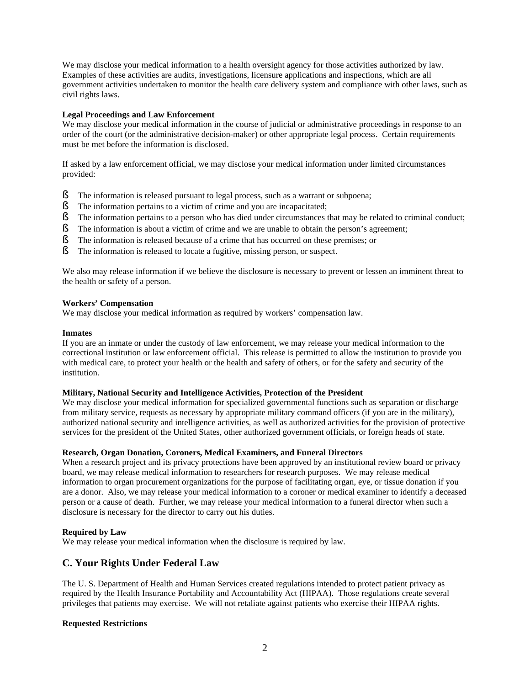We may disclose your medical information to a health oversight agency for those activities authorized by law. Examples of these activities are audits, investigations, licensure applications and inspections, which are all government activities undertaken to monitor the health care delivery system and compliance with other laws, such as civil rights laws.

#### **Legal Proceedings and Law Enforcement**

We may disclose your medical information in the course of judicial or administrative proceedings in response to an order of the court (or the administrative decision-maker) or other appropriate legal process. Certain requirements must be met before the information is disclosed.

If asked by a law enforcement official, we may disclose your medical information under limited circumstances provided:

- § The information is released pursuant to legal process, such as a warrant or subpoena;
- § The information pertains to a victim of crime and you are incapacitated;
- § The information pertains to a person who has died under circumstances that may be related to criminal conduct;<br>§ The information is about a victim of crime and we are unable to obtain the person's agreement;
- The information is about a victim of crime and we are unable to obtain the person's agreement;
- § The information is released because of a crime that has occurred on these premises; or
- § The information is released to locate a fugitive, missing person, or suspect.

We also may release information if we believe the disclosure is necessary to prevent or lessen an imminent threat to the health or safety of a person.

#### **Workers' Compensation**

We may disclose your medical information as required by workers' compensation law.

#### **Inmates**

If you are an inmate or under the custody of law enforcement, we may release your medical information to the correctional institution or law enforcement official. This release is permitted to allow the institution to provide you with medical care, to protect your health or the health and safety of others, or for the safety and security of the institution.

#### **Military, National Security and Intelligence Activities, Protection of the President**

We may disclose your medical information for specialized governmental functions such as separation or discharge from military service, requests as necessary by appropriate military command officers (if you are in the military), authorized national security and intelligence activities, as well as authorized activities for the provision of protective services for the president of the United States, other authorized government officials, or foreign heads of state.

#### **Research, Organ Donation, Coroners, Medical Examiners, and Funeral Directors**

When a research project and its privacy protections have been approved by an institutional review board or privacy board, we may release medical information to researchers for research purposes. We may release medical information to organ procurement organizations for the purpose of facilitating organ, eye, or tissue donation if you are a donor. Also, we may release your medical information to a coroner or medical examiner to identify a deceased person or a cause of death. Further, we may release your medical information to a funeral director when such a disclosure is necessary for the director to carry out his duties.

#### **Required by Law**

We may release your medical information when the disclosure is required by law.

# **C. Your Rights Under Federal Law**

The U. S. Department of Health and Human Services created regulations intended to protect patient privacy as required by the Health Insurance Portability and Accountability Act (HIPAA). Those regulations create several privileges that patients may exercise. We will not retaliate against patients who exercise their HIPAA rights.

#### **Requested Restrictions**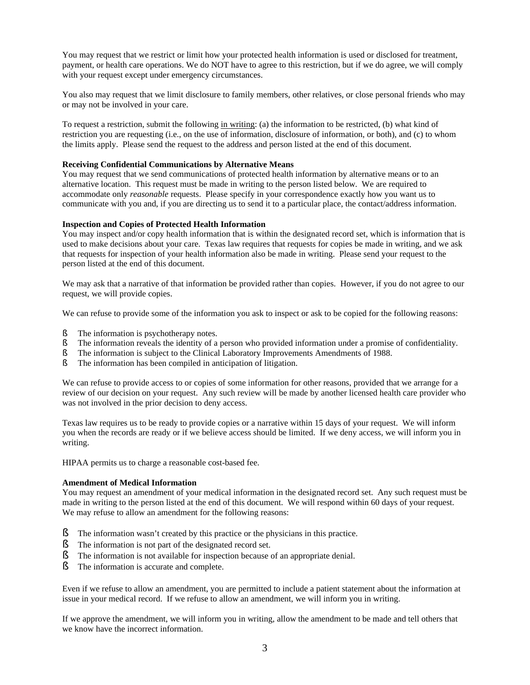You may request that we restrict or limit how your protected health information is used or disclosed for treatment, payment, or health care operations. We do NOT have to agree to this restriction, but if we do agree, we will comply with your request except under emergency circumstances.

You also may request that we limit disclosure to family members, other relatives, or close personal friends who may or may not be involved in your care.

To request a restriction, submit the following in writing: (a) the information to be restricted, (b) what kind of restriction you are requesting (i.e., on the use of information, disclosure of information, or both), and (c) to whom the limits apply. Please send the request to the address and person listed at the end of this document.

#### **Receiving Confidential Communications by Alternative Means**

You may request that we send communications of protected health information by alternative means or to an alternative location. This request must be made in writing to the person listed below. We are required to accommodate only *reasonable* requests. Please specify in your correspondence exactly how you want us to communicate with you and, if you are directing us to send it to a particular place, the contact/address information.

#### **Inspection and Copies of Protected Health Information**

You may inspect and/or copy health information that is within the designated record set, which is information that is used to make decisions about your care. Texas law requires that requests for copies be made in writing, and we ask that requests for inspection of your health information also be made in writing. Please send your request to the person listed at the end of this document.

We may ask that a narrative of that information be provided rather than copies. However, if you do not agree to our request, we will provide copies.

We can refuse to provide some of the information you ask to inspect or ask to be copied for the following reasons:

- § The information is psychotherapy notes.
- § The information reveals the identity of a person who provided information under a promise of confidentiality.
- § The information is subject to the Clinical Laboratory Improvements Amendments of 1988.
- § The information has been compiled in anticipation of litigation.

We can refuse to provide access to or copies of some information for other reasons, provided that we arrange for a review of our decision on your request. Any such review will be made by another licensed health care provider who was not involved in the prior decision to deny access.

Texas law requires us to be ready to provide copies or a narrative within 15 days of your request. We will inform you when the records are ready or if we believe access should be limited. If we deny access, we will inform you in writing.

HIPAA permits us to charge a reasonable cost-based fee.

#### **Amendment of Medical Information**

You may request an amendment of your medical information in the designated record set. Any such request must be made in writing to the person listed at the end of this document. We will respond within 60 days of your request. We may refuse to allow an amendment for the following reasons:

- The information wasn't created by this practice or the physicians in this practice.
- § The information is not part of the designated record set.
- § The information is not available for inspection because of an appropriate denial.
- § The information is accurate and complete.

Even if we refuse to allow an amendment, you are permitted to include a patient statement about the information at issue in your medical record. If we refuse to allow an amendment, we will inform you in writing.

If we approve the amendment, we will inform you in writing, allow the amendment to be made and tell others that we know have the incorrect information.